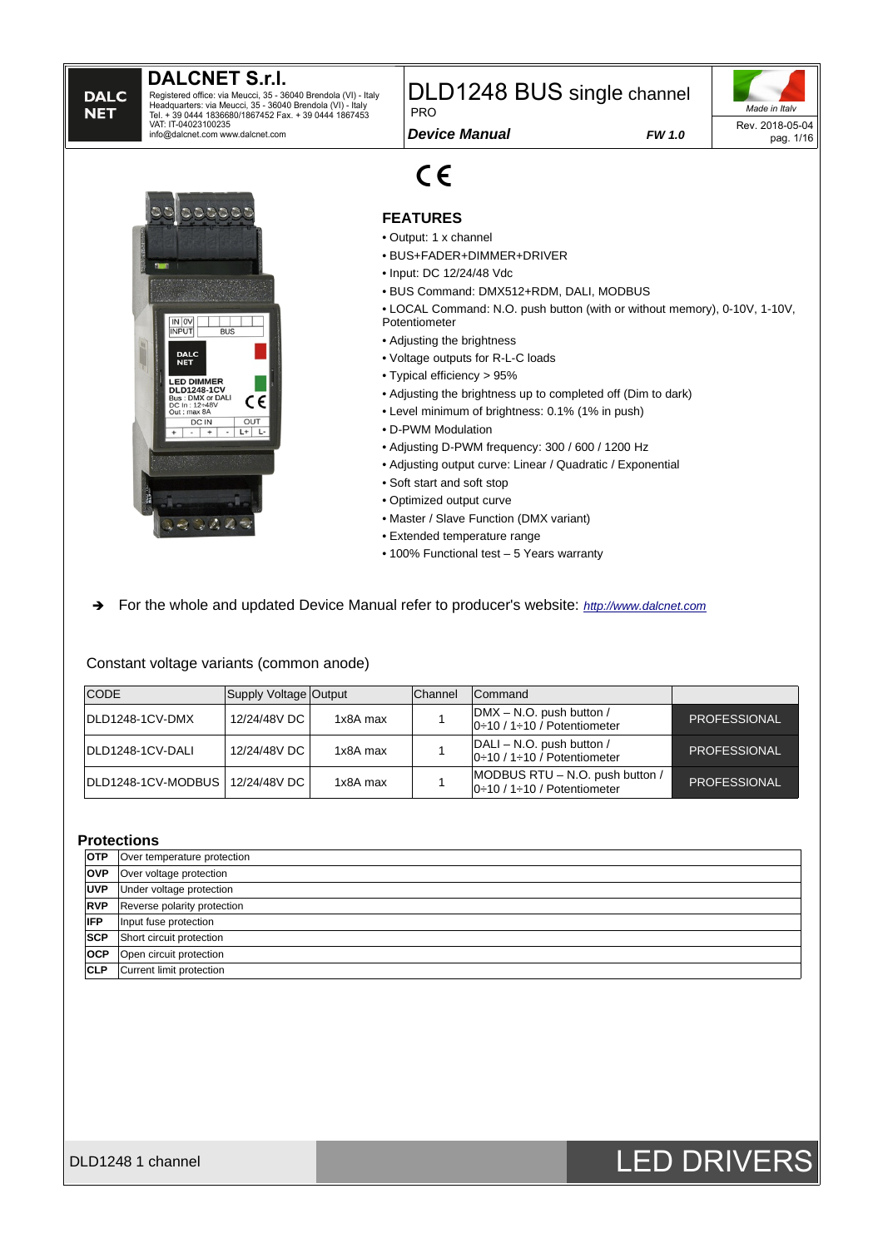**DALC NET** 

Registered office: via Meucci, 35 - 36040 Brendola (VI) - Italy<br>Headquarters: via Meucci, 35 - 36040 Brendola (VI) - Italy<br>Tel. + 39 0444 1836680/1867452 Fax. + 39 0444 1867453<br>VAT: IT-04023100235 info@dalcnet.com www.dalcnet.com

DLD1248 BUS single channel PRO

*Device Manual FW 1.0*





#### **FEATURES**

• Output: 1 x channel

 $C \in$ 

- BUS+FADER+DIMMER+DRIVER
- Input: DC 12/24/48 Vdc
- BUS Command: DMX512+RDM, DALI, MODBUS

• LOCAL Command: N.O. push button (with or without memory), 0-10V, 1-10V, Potentiometer

- Adjusting the brightness
- Voltage outputs for R-L-C loads
- Typical efficiency > 95%
- Adjusting the brightness up to completed off (Dim to dark)
- Level minimum of brightness: 0.1% (1% in push)
- D-PWM Modulation
- Adjusting D-PWM frequency: 300 / 600 / 1200 Hz
- Adjusting output curve: Linear / Quadratic / Exponential
- Soft start and soft stop
- Optimized output curve
- Master / Slave Function (DMX variant)
- Extended temperature range
- 100% Functional test 5 Years warranty
- ➔ For the whole and updated Device Manual refer to producer's website: *[http://www.dalcnet.com](http://www.dalcnet.com/)*

Constant voltage variants (common anode)

| <b>CODE</b>                       | Supply Voltage Output |          | Channel | Command                                                        |                     |
|-----------------------------------|-----------------------|----------|---------|----------------------------------------------------------------|---------------------|
| IDLD1248-1CV-DMX                  | 12/24/48V DC          | 1x8A max |         | DMX - N.O. push button /<br>$ 0:10/1:10/$ Potentiometer        | <b>PROFESSIONAL</b> |
| DLD1248-1CV-DALI                  | 12/24/48V DC          | 1x8A max |         | DALI – N.O. push button /<br>$ 0:10/1:10/$ Potentiometer       | <b>PROFESSIONAL</b> |
| DLD1248-1CV-MODBUS   12/24/48V DC |                       | 1x8A max |         | MODBUS RTU - N.O. push button /<br>$ 0:10/1:10/$ Potentiometer | <b>PROFESSIONAL</b> |

#### **Protections**

| <b>OTP</b> | Over temperature protection |
|------------|-----------------------------|
| <b>OVP</b> | Over voltage protection     |
| <b>UVP</b> | Under voltage protection    |
| <b>RVP</b> | Reverse polarity protection |
| <b>IFP</b> | Input fuse protection       |
| <b>SCP</b> | Short circuit protection    |
| <b>OCP</b> | Open circuit protection     |
| <b>CLP</b> | Current limit protection    |

# DLD1248 1 channel **DLD1248 1 channel** DLD1248 1 channel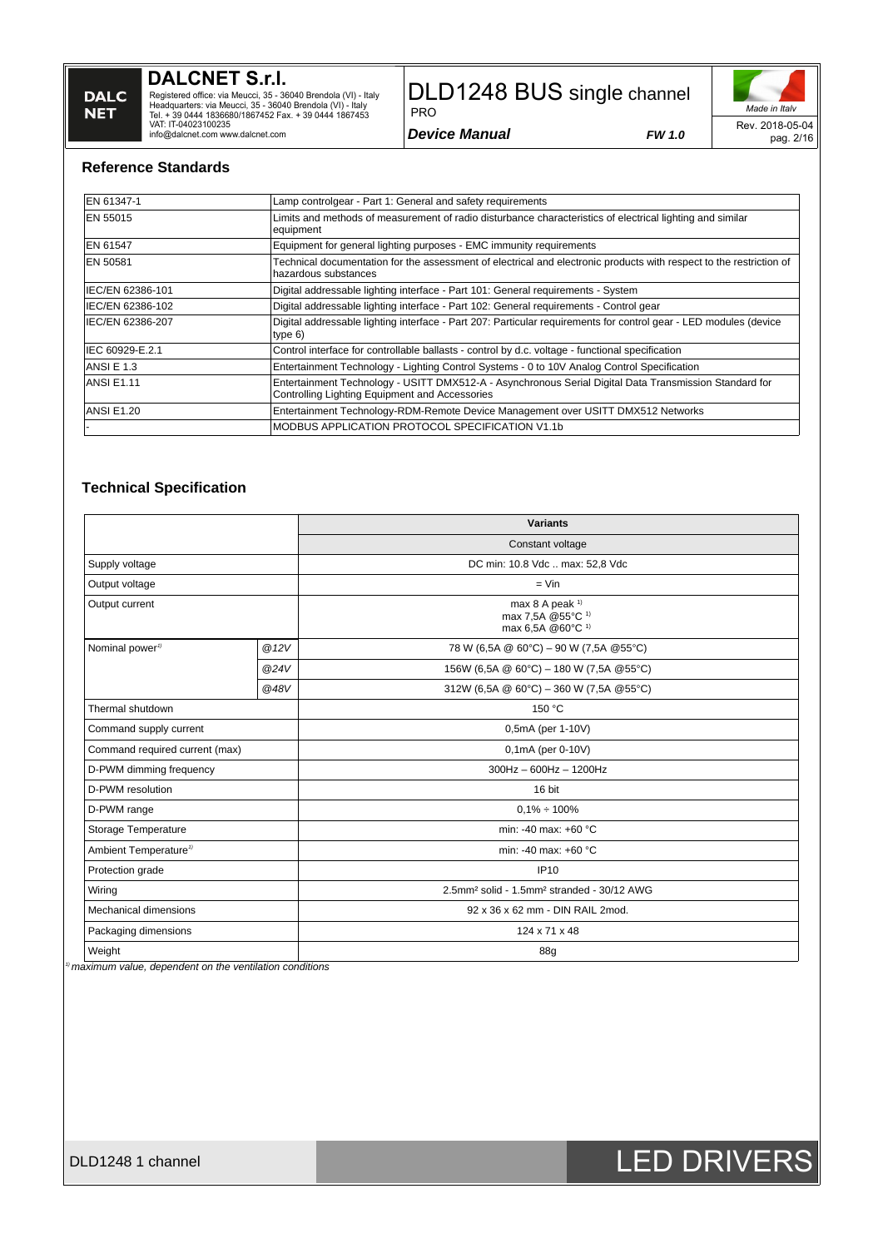**DALCNET S.r.l.**

Registered office: via Meucci, 35 - 36040 Brendola (VI) - Italy<br>Headquarters: via Meucci, 35 - 36040 Brendola (VI) - Italy<br>Tel. + 39 0444 1836680/1867452 Fax. + 39 0444 1867453<br>VAT: IT-04023100235<br>info@dalcnet.com www.dalc

# DLD1248 BUS single channel

*Device Manual FW 1.0*

PRO

*Made in Italy* Rev. 2018-05-04 pag. 2/16

#### **Reference Standards**

| EN 61347-1        | Lamp controlgear - Part 1: General and safety requirements                                                                                               |
|-------------------|----------------------------------------------------------------------------------------------------------------------------------------------------------|
| EN 55015          | Limits and methods of measurement of radio disturbance characteristics of electrical lighting and similar<br>equipment                                   |
| EN 61547          | Equipment for general lighting purposes - EMC immunity requirements                                                                                      |
| <b>EN 50581</b>   | Technical documentation for the assessment of electrical and electronic products with respect to the restriction of<br>lhazardous substances             |
| IEC/EN 62386-101  | Digital addressable lighting interface - Part 101: General requirements - System                                                                         |
| IEC/EN 62386-102  | Digital addressable lighting interface - Part 102: General requirements - Control gear                                                                   |
| IEC/EN 62386-207  | Digital addressable lighting interface - Part 207: Particular requirements for control gear - LED modules (device<br>type $6)$                           |
| IEC 60929-E.2.1   | Control interface for controllable ballasts - control by d.c. voltage - functional specification                                                         |
| <b>ANSI E 1.3</b> | Entertainment Technology - Lighting Control Systems - 0 to 10V Analog Control Specification                                                              |
| <b>ANSI E1.11</b> | Entertainment Technology - USITT DMX512-A - Asynchronous Serial Digital Data Transmission Standard for<br>Controlling Lighting Equipment and Accessories |
| <b>ANSI E1.20</b> | Entertainment Technology-RDM-Remote Device Management over USITT DMX512 Networks                                                                         |
|                   | MODBUS APPLICATION PROTOCOL SPECIFICATION V1.1b                                                                                                          |

#### **Technical Specification**

|                                   |      | <b>Variants</b>                                                                  |  |  |  |
|-----------------------------------|------|----------------------------------------------------------------------------------|--|--|--|
|                                   |      | Constant voltage                                                                 |  |  |  |
| Supply voltage                    |      | DC min: 10.8 Vdc  max: 52,8 Vdc                                                  |  |  |  |
| Output voltage                    |      | $=$ Vin                                                                          |  |  |  |
| Output current                    |      | max 8 A peak $1$<br>max 7,5A @55°C <sup>1)</sup><br>max 6,5A @60°C <sup>1)</sup> |  |  |  |
| Nominal power <sup>1)</sup>       | @12V | 78 W (6,5A @ 60°C) - 90 W (7,5A @55°C)                                           |  |  |  |
|                                   | @24V | 156W (6,5A @ 60°C) - 180 W (7,5A @55°C)                                          |  |  |  |
|                                   | @48V | 312W (6,5A @ 60°C) - 360 W (7,5A @55°C)                                          |  |  |  |
| Thermal shutdown                  |      | 150 °C                                                                           |  |  |  |
| Command supply current            |      | 0,5mA (per 1-10V)                                                                |  |  |  |
| Command required current (max)    |      | 0,1mA (per 0-10V)                                                                |  |  |  |
| D-PWM dimming frequency           |      | $300$ Hz - 600Hz - 1200Hz                                                        |  |  |  |
| D-PWM resolution                  |      | 16 bit                                                                           |  |  |  |
| D-PWM range                       |      | $0.1\% \div 100\%$                                                               |  |  |  |
| Storage Temperature               |      | min: -40 max: +60 °C                                                             |  |  |  |
| Ambient Temperature <sup>1)</sup> |      | min: -40 max: +60 °C                                                             |  |  |  |
| Protection grade                  |      | <b>IP10</b>                                                                      |  |  |  |
| Wiring                            |      | 2.5mm <sup>2</sup> solid - 1.5mm <sup>2</sup> stranded - 30/12 AWG               |  |  |  |
| <b>Mechanical dimensions</b>      |      | 92 x 36 x 62 mm - DIN RAIL 2mod.                                                 |  |  |  |
| Packaging dimensions              |      | 124 x 71 x 48                                                                    |  |  |  |
| Weight                            |      | 88g                                                                              |  |  |  |

*1) maximum value, dependent on the ventilation conditions*

# DLD1248 1 channel **DLD1248 1 channel** DLD1248 1 channel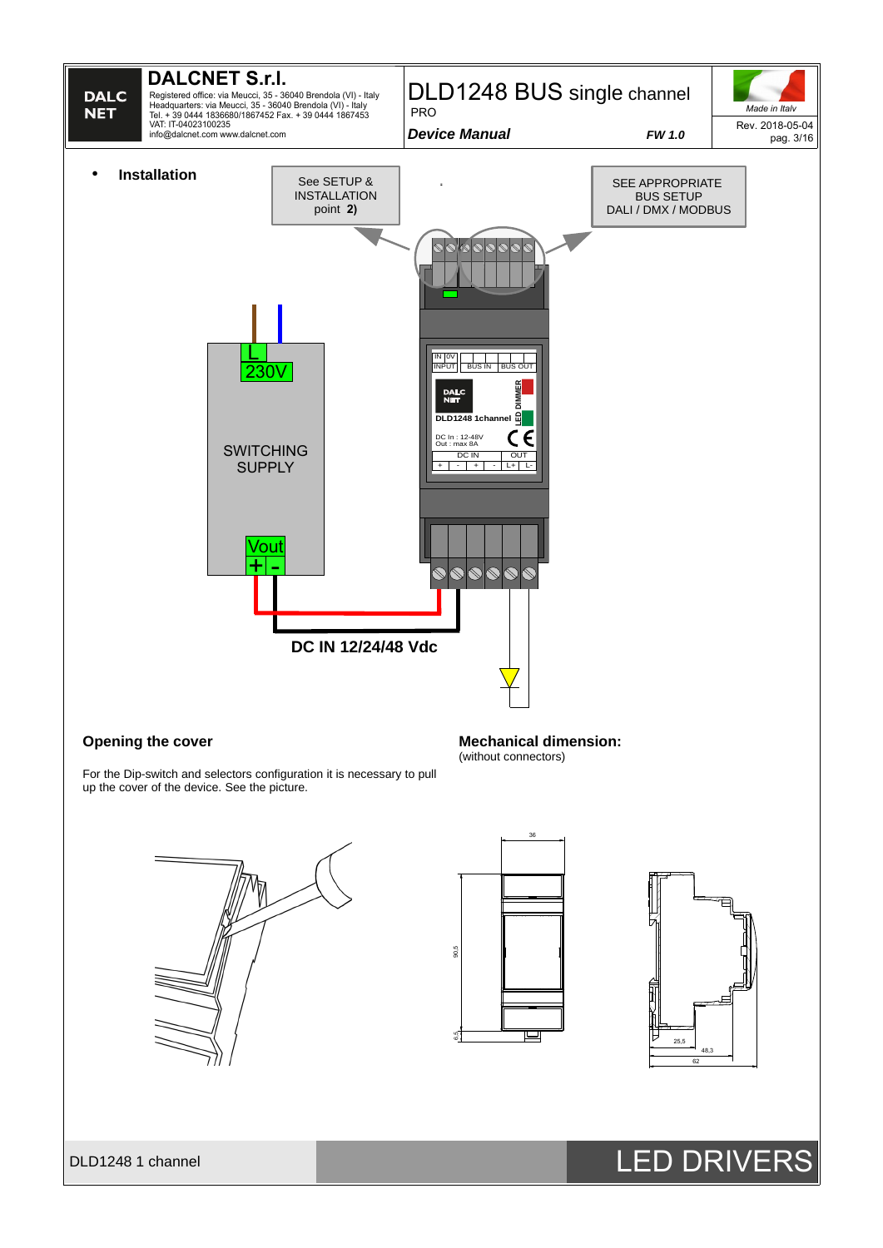

#### **Opening the cover**

**Mechanical dimension:** (without connectors)

For the Dip-switch and selectors configuration it is necessary to pull up the cover of the device. See the picture.







DLD1248 1 channel **LED DRIVERS**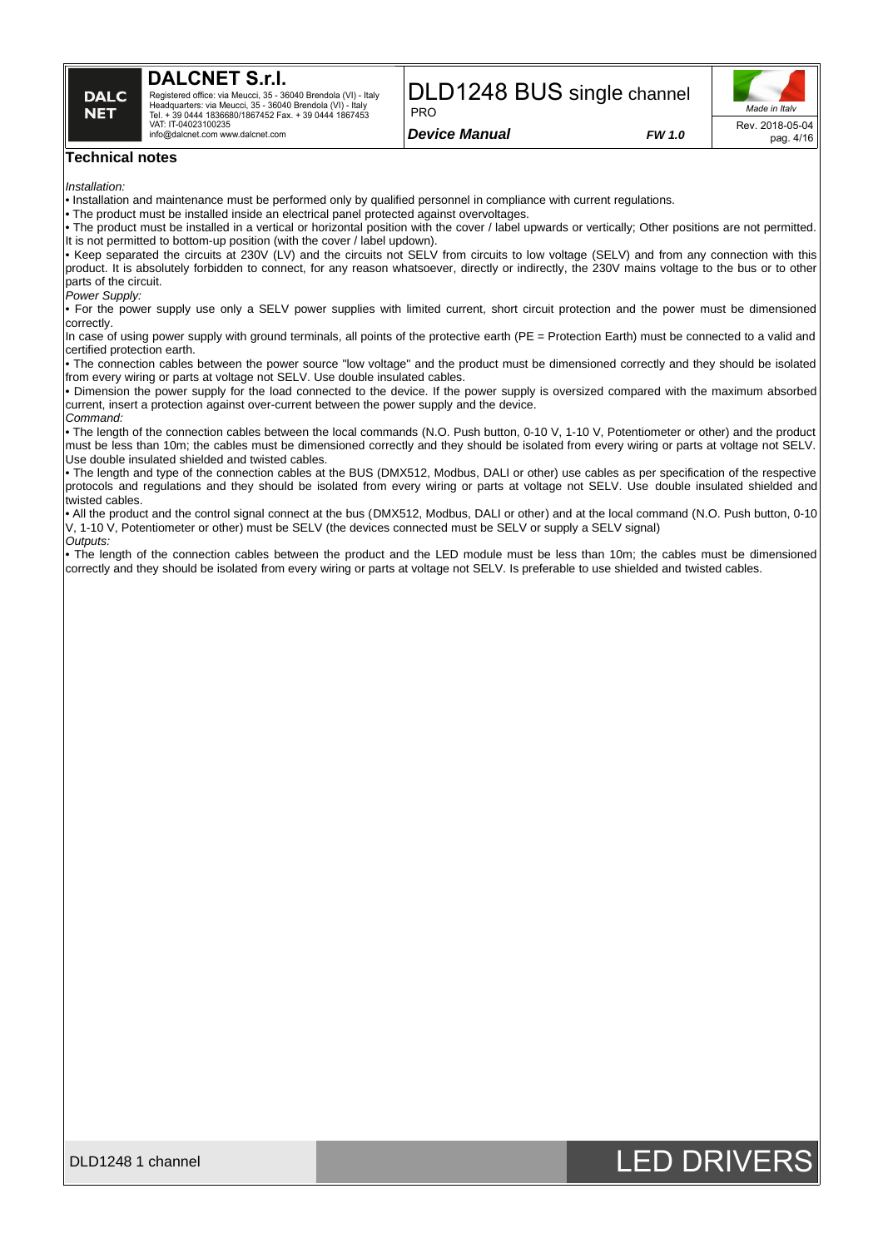

Registered office: via Meucci, 35 - 36040 Brendola (VI) - Italy Headquarters: via Meucci, 35 - 36040 Brendola (VI) - Italy Tel. + 39 0444 1836680/1867452 Fax. + 39 0444 1867453 VAT: IT-04023100235 info@dalcnet.com www.dalcnet.com

#### DLD1248 BUS single channel PRO

*Device Manual FW 1.0*



#### **Technical notes**

*Installation:*

• Installation and maintenance must be performed only by qualified personnel in compliance with current regulations.

• The product must be installed inside an electrical panel protected against overvoltages.

• The product must be installed in a vertical or horizontal position with the cover / label upwards or vertically; Other positions are not permitted. It is not permitted to bottom-up position (with the cover  $\ell$  label updown).

• Keep separated the circuits at 230V (LV) and the circuits not SELV from circuits to low voltage (SELV) and from any connection with this product. It is absolutely forbidden to connect, for any reason whatsoever, directly or indirectly, the 230V mains voltage to the bus or to other parts of the circuit.

*Power Supply:*

• For the power supply use only a SELV power supplies with limited current, short circuit protection and the power must be dimensioned correctly.

In case of using power supply with ground terminals, all points of the protective earth (PE = Protection Earth) must be connected to a valid and certified protection earth.

• The connection cables between the power source "low voltage" and the product must be dimensioned correctly and they should be isolated from every wiring or parts at voltage not SELV. Use double insulated cables.

• Dimension the power supply for the load connected to the device. If the power supply is oversized compared with the maximum absorbed current, insert a protection against over-current between the power supply and the device.

*Command:*

• The length of the connection cables between the local commands (N.O. Push button, 0-10 V, 1-10 V, Potentiometer or other) and the product must be less than 10m; the cables must be dimensioned correctly and they should be isolated from every wiring or parts at voltage not SELV. Use double insulated shielded and twisted cables.

• The length and type of the connection cables at the BUS (DMX512, Modbus, DALI or other) use cables as per specification of the respective protocols and regulations and they should be isolated from every wiring or parts at voltage not SELV. Use double insulated shielded and twisted cables.

• All the product and the control signal connect at the bus (DMX512, Modbus, DALI or other) and at the local command (N.O. Push button, 0-10 V, 1-10 V, Potentiometer or other) must be SELV (the devices connected must be SELV or supply a SELV signal) *Outputs:*

• The length of the connection cables between the product and the LED module must be less than 10m; the cables must be dimensioned correctly and they should be isolated from every wiring or parts at voltage not SELV. Is preferable to use shielded and twisted cables.



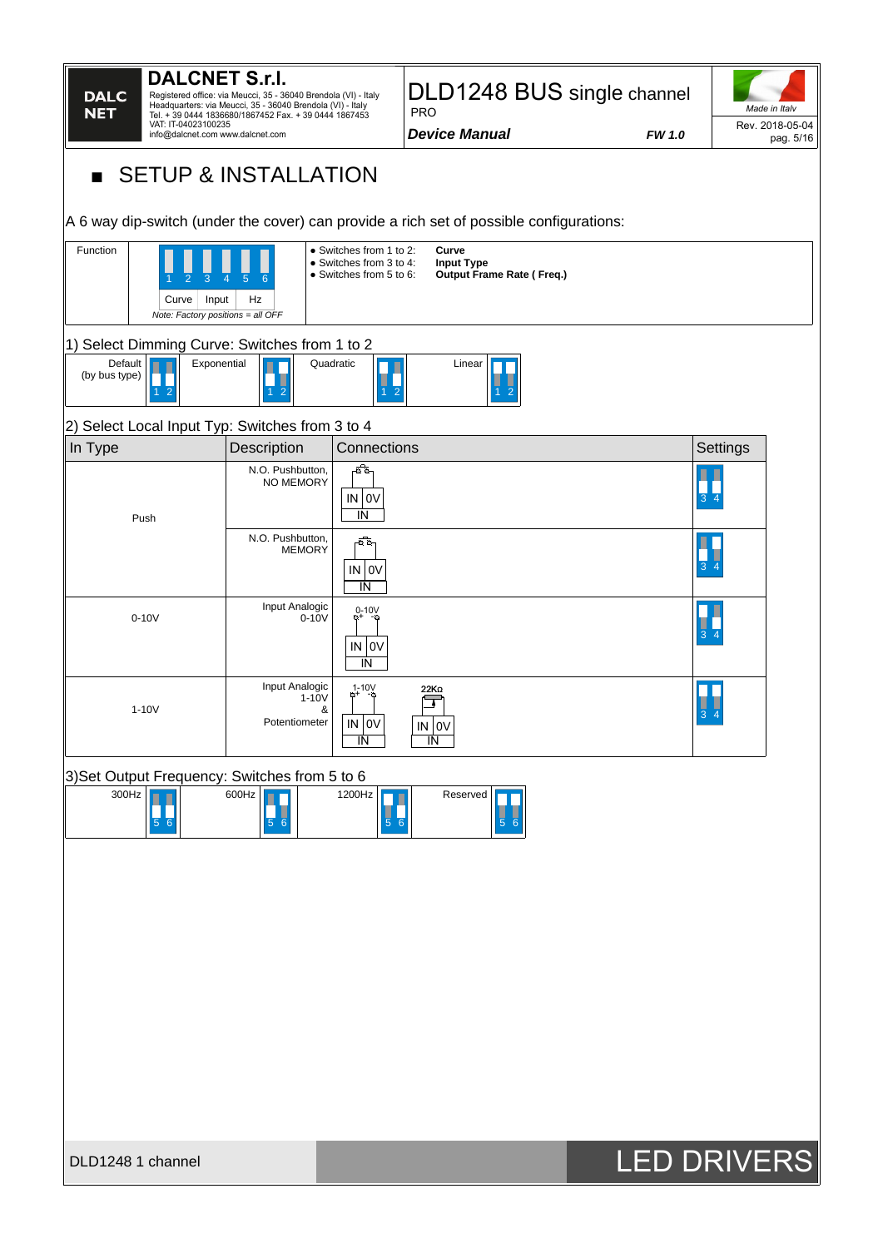| <b>DALCNET S.r.I.</b><br><b>DALC</b><br><b>NET</b><br>VAT: IT-04023100235<br>info@dalcnet.com www.dalcnet.com<br><b>SETUP &amp; INSTALLATION</b>           | Registered office: via Meucci, 35 - 36040 Brendola (VI) - Italy<br>Headquarters: via Meucci, 35 - 36040 Brendola (VI) - Italy<br>Tel. + 39 0444 1836680/1867452 Fax. + 39 0444 1867453 |                                                                               | DLD1248 BUS single channel<br><b>PRO</b><br><b>Device Manual</b>                                         | <b>FW 1.0</b> | Made in Italv<br>Rev. 2018-05-04<br>pag. 5/16 |
|------------------------------------------------------------------------------------------------------------------------------------------------------------|----------------------------------------------------------------------------------------------------------------------------------------------------------------------------------------|-------------------------------------------------------------------------------|----------------------------------------------------------------------------------------------------------|---------------|-----------------------------------------------|
| A 6 way dip-switch (under the cover) can provide a rich set of possible configurations:<br>Function<br>Curve<br>Input<br>Note: Factory positions = all OFF | Hz                                                                                                                                                                                     | • Switches from 1 to 2:<br>• Switches from 3 to 4:<br>• Switches from 5 to 6: | Curve<br><b>Input Type</b><br><b>Output Frame Rate (Freq.)</b>                                           |               |                                               |
| 1) Select Dimming Curve: Switches from 1 to 2<br>Default<br>Exponential<br>(by bus type)                                                                   | 2                                                                                                                                                                                      | Quadratic                                                                     | Linear                                                                                                   |               |                                               |
| 2) Select Local Input Typ: Switches from 3 to 4                                                                                                            |                                                                                                                                                                                        | Connections                                                                   |                                                                                                          |               |                                               |
| In Type<br>Push                                                                                                                                            | Description<br>N.O. Pushbutton,<br>NO MEMORY<br>N.O. Pushbutton,<br><b>MEMORY</b>                                                                                                      | ᅘ<br>IN OV<br>IN<br>-0.0-<br>IN   OV<br>IN                                    |                                                                                                          |               | Settings                                      |
| $0-10V$                                                                                                                                                    | Input Analogic<br>$0-10V$                                                                                                                                                              | $0-10V$<br>O+<br>IN   OV<br>IN                                                |                                                                                                          |               |                                               |
| $1-10V$                                                                                                                                                    | Input Analogic<br>1-10V<br>&<br>Potentiometer                                                                                                                                          | $1 - 10V$<br>$IN$ 0V<br>IN                                                    | IN   OV<br>IN                                                                                            |               | 3<br>Δ                                        |
| 3) Set Output Frequency: Switches from 5 to 6<br>300Hz<br>$\blacksquare$<br>56                                                                             | 600 Hz<br>$\frac{1}{5}$ 6                                                                                                                                                              | 1200Hz<br>$\begin{array}{c c} \hline \ 5 & 6 \end{array}$                     | Reserved<br>$\begin{array}{c c} \hline \phantom{0} & \phantom{0} \\ \hline \phantom{0}5 & 6 \end{array}$ |               |                                               |
| DLD1248 1 channel                                                                                                                                          |                                                                                                                                                                                        |                                                                               |                                                                                                          |               | <b>LED DRIVERS</b>                            |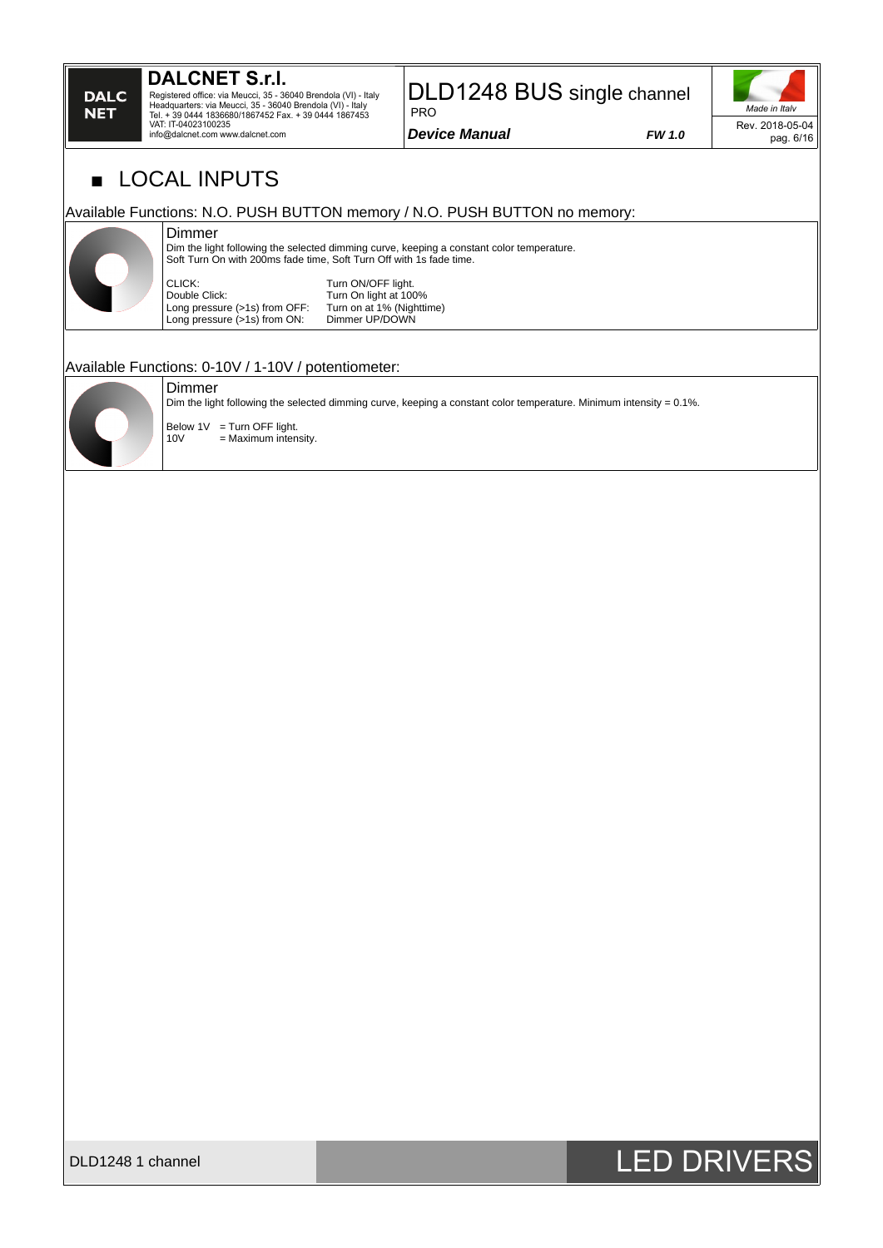Registered office: via Meucci, 35 - 36040 Brendola (VI) - Italy<br>Headquarters: via Meucci, 35 - 36040 Brendola (VI) - Italy<br>Tel. + 39 0444 1836680/1867452 Fax. + 39 0444 1867453<br>VAT: IT-04023100235 info@dalcnet.com www.dalcnet.com

### DLD1248 BUS single channel PRO

*Device Manual FW 1.0*



pag. 6/16

LOCAL INPUTS

#### Available Functions: N.O. PUSH BUTTON memory / N.O. PUSH BUTTON no memory:

#### Dimmer

Dim the light following the selected dimming curve, keeping a constant color temperature. Soft Turn On with 200ms fade time, Soft Turn Off with 1s fade time.

CLICK: Turn ON/OFF light.<br>Double Click: Turn On light at 100 Long pressure (>1s) from OFF: Turn on at 1% (Night Long pressure (>1s) from ON: Dimmer UP/DOWN Long pressure  $(>1s)$  from ON:

Turn On light at 100%<br>Turn on at 1% (Nighttime)

#### Available Functions: 0-10V / 1-10V / potentiometer:

#### Dimmer

Dim the light following the selected dimming curve, keeping a constant color temperature. Minimum intensity = 0.1%.



**DALC NET** 

> $\begin{cases} \text{Below } 1V = \text{Turn } \text{OFF } \text{light.} \\ 10V = \text{Maximum } \text{inten.} \end{cases}$  $=$  Maximum intensity.



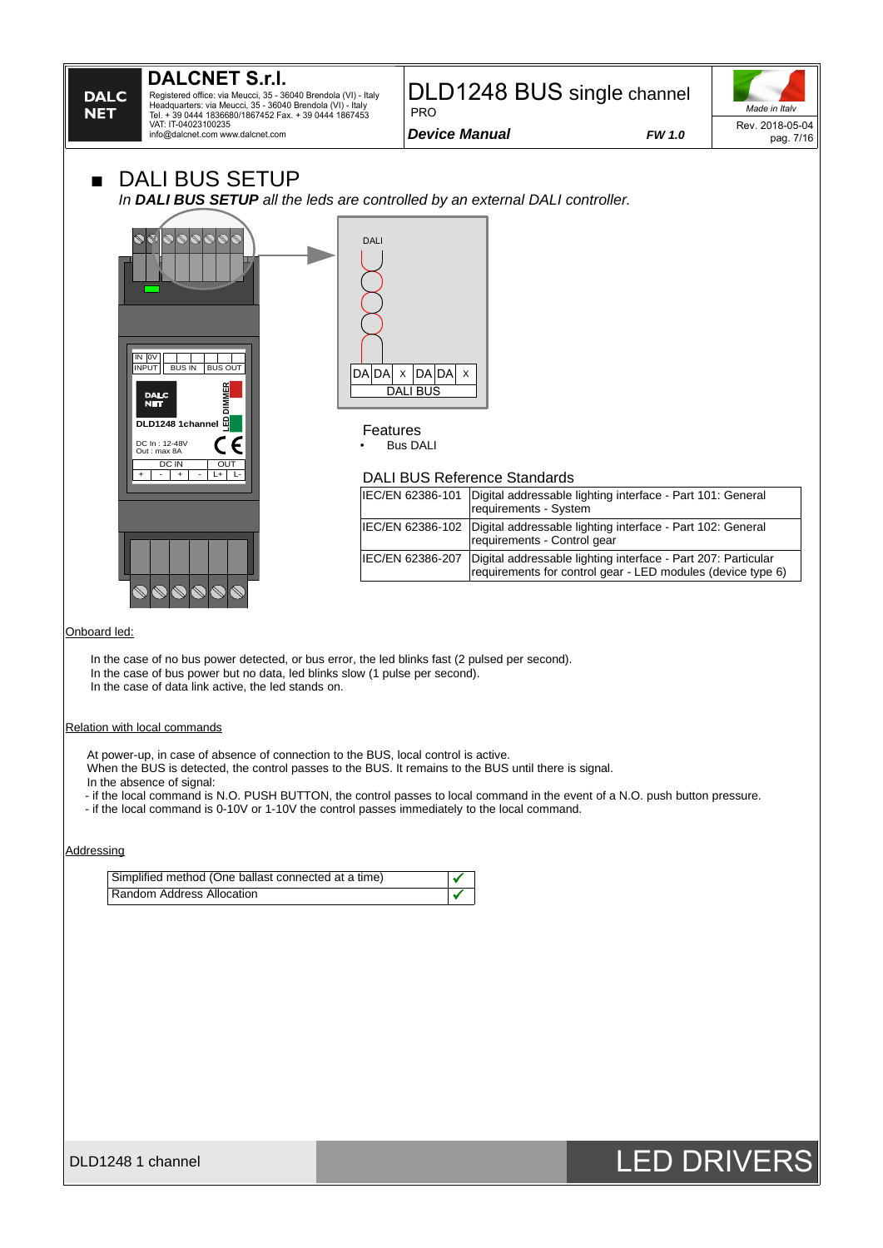

In the case of bus power but no data, led blinks slow (1 pulse per second).

In the case of data link active, the led stands on.

#### Relation with local commands

At power-up, in case of absence of connection to the BUS, local control is active.

When the BUS is detected, the control passes to the BUS. It remains to the BUS until there is signal.

In the absence of signal:

- if the local command is N.O. PUSH BUTTON, the control passes to local command in the event of a N.O. push button pressure.

- if the local command is 0-10V or 1-10V the control passes immediately to the local command.

#### **Addressing**

| Simplified method (One ballast connected at a time) |  |
|-----------------------------------------------------|--|
| Random Address Allocation                           |  |

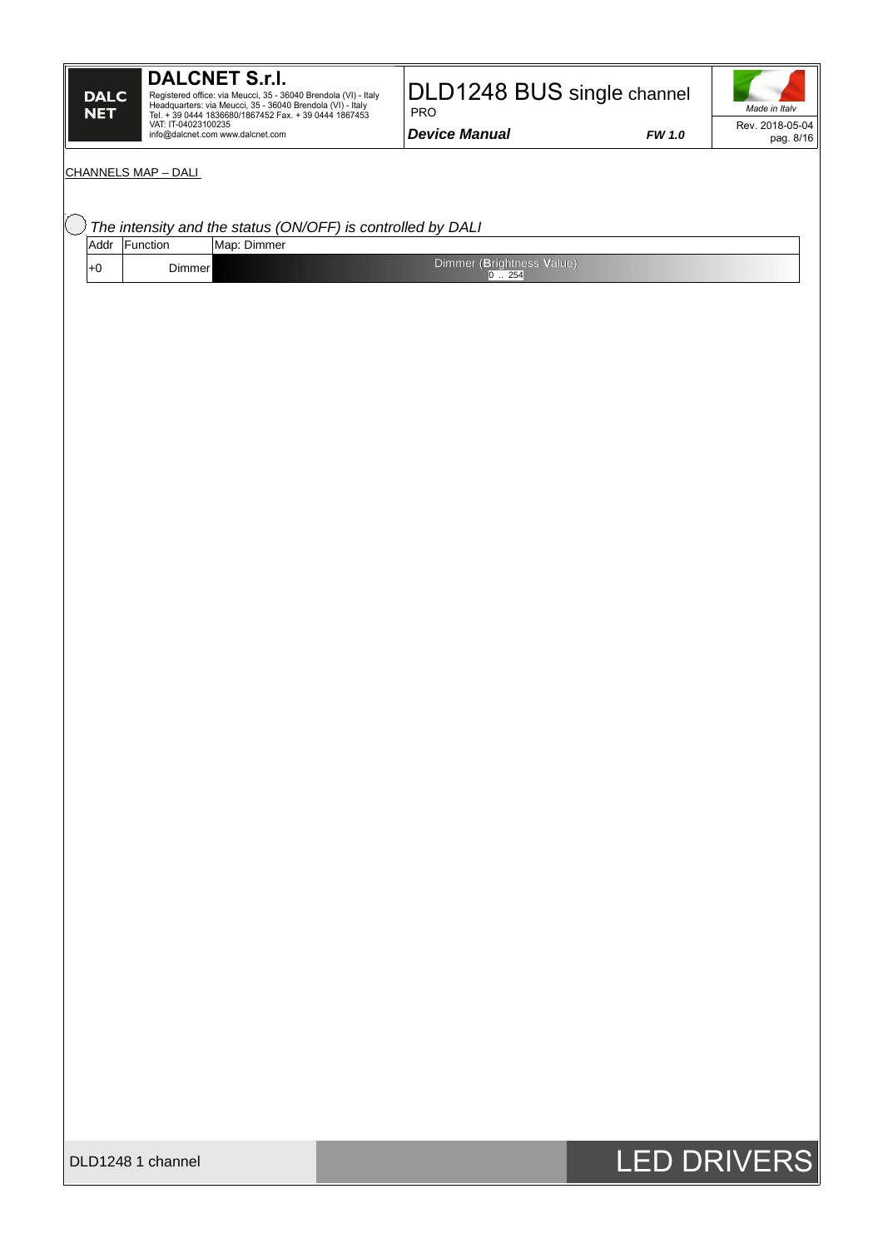### **DALCNET S.r.l.**

Registered office: via Meucci, 35 - 36040 Brendola (VI) - Italy<br>Headquarters: via Meucci, 35 - 36040 Brendola (VI) - Italy<br>Tel. + 39 0444 1836680/1867452 Fax. + 39 0444 1867453<br>VAT: IT-04023100235<br>info@dalcnet.com www.dalc

### DLD1248 BUS single channel

*Device Manual FW 1.0*

PRO

*Made in Italy* Rev. 2018-05-04 pag. 8/16

#### CHANNELS MAP – DALI

|     |               | The intensity and the status (ON/OFF) is controlled by DALI |
|-----|---------------|-------------------------------------------------------------|
|     | Addr Function | Map: Dimmer                                                 |
| l+0 | Dimmer        | Dimmer (Brightness Value)<br>$0$ $\ldots$ 254               |
|     |               |                                                             |
|     |               |                                                             |
|     |               |                                                             |



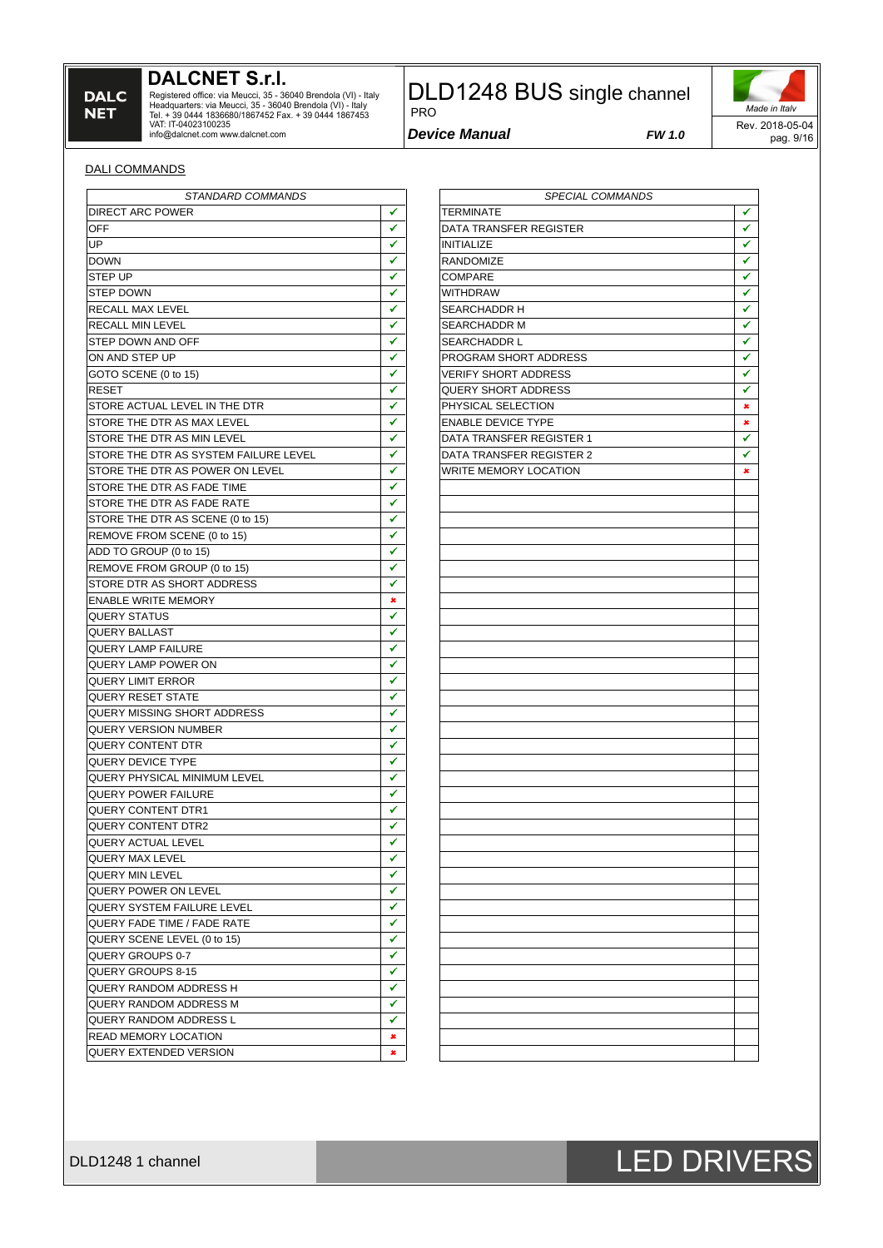### **DALCNET S.r.l.**

Registered office: via Meucci, 35 - 36040 Brendola (VI) - Italy<br>Headquarters: via Meucci, 35 - 36040 Brendola (VI) - Italy<br>Tel. + 39 0444 1836680/1867452 Fax. + 39 0444 1867453<br>VAT: IT-04023100235<br>info@dalcnet.com www.dalc

## DLD1248 BUS single channel

*Device Manual FW 1.0*

PRO

*Made in Italy* Rev. 2018-05-04 pag. 9/16

#### DALI COMMANDS

| STANDARD COMMANDS                     |                    | <b>SPECIAL COMMANDS</b>      |              |
|---------------------------------------|--------------------|------------------------------|--------------|
| <b>DIRECT ARC POWER</b>               | ✔                  | TERMINATE                    | ٧            |
| OFF                                   | ✔                  | DATA TRANSFER REGISTER       | V            |
| UP                                    | $\checkmark$       | <b>INITIALIZE</b>            | $\checkmark$ |
| <b>DOWN</b>                           | ✔                  | RANDOMIZE                    | ٧            |
| STEP UP                               | ✔                  | <b>COMPARE</b>               | $\checkmark$ |
| STEP DOWN                             | ✔                  | <b>WITHDRAW</b>              | V            |
| RECALL MAX LEVEL                      | ✔                  | SEARCHADDR H                 | √            |
| RECALL MIN LEVEL                      | ✔                  | SEARCHADDR M                 | $\checkmark$ |
| STEP DOWN AND OFF                     | $\checkmark$       | <b>SEARCHADDR L</b>          | V            |
| ON AND STEP UP                        | ✔                  | PROGRAM SHORT ADDRESS        | ✔            |
| GOTO SCENE (0 to 15)                  | ✔                  | <b>VERIFY SHORT ADDRESS</b>  | ✔            |
| <b>RESET</b>                          | ✔                  | <b>OUERY SHORT ADDRESS</b>   | V            |
| STORE ACTUAL LEVEL IN THE DTR         | ✔                  | PHYSICAL SELECTION           | ×            |
| STORE THE DTR AS MAX LEVEL            | ✔                  | <b>ENABLE DEVICE TYPE</b>    | ×            |
| STORE THE DTR AS MIN LEVEL            | ✔                  | DATA TRANSFER REGISTER 1     | ٧            |
| STORE THE DTR AS SYSTEM FAILURE LEVEL | ✔                  | DATA TRANSFER REGISTER 2     | ٧            |
| STORE THE DTR AS POWER ON LEVEL       | ✔                  | <b>WRITE MEMORY LOCATION</b> | ×            |
| STORE THE DTR AS FADE TIME            | ✔                  |                              |              |
|                                       | $\checkmark$       |                              |              |
| STORE THE DTR AS FADE RATE            |                    |                              |              |
| STORE THE DTR AS SCENE (0 to 15)      | ✔                  |                              |              |
| REMOVE FROM SCENE (0 to 15)           | $\checkmark$       |                              |              |
| ADD TO GROUP (0 to 15)                | ✔                  |                              |              |
| REMOVE FROM GROUP (0 to 15)           | ✔                  |                              |              |
| STORE DTR AS SHORT ADDRESS            | $\checkmark$       |                              |              |
| <b>ENABLE WRITE MEMORY</b>            | $\pmb{x}$          |                              |              |
| OUERY STATUS                          | ✔                  |                              |              |
| OUERY BALLAST                         | ✔                  |                              |              |
| <b>OUERY LAMP FAILURE</b>             | ✔                  |                              |              |
| QUERY LAMP POWER ON                   | ✔                  |                              |              |
| QUERY LIMIT ERROR                     | ✔                  |                              |              |
| <b>OUERY RESET STATE</b>              | ✔                  |                              |              |
| OUERY MISSING SHORT ADDRESS           | ✔                  |                              |              |
| <b>OUERY VERSION NUMBER</b>           | ✔                  |                              |              |
| OUERY CONTENT DTR                     | ✔                  |                              |              |
| OUERY DEVICE TYPE                     | $\checkmark$       |                              |              |
| <b>OUERY PHYSICAL MINIMUM LEVEL</b>   | ✔                  |                              |              |
| <b>OUERY POWER FAILURE</b>            | ✔                  |                              |              |
| <b>OUERY CONTENT DTR1</b>             | ✔                  |                              |              |
| QUERY CONTENT DTR2                    | ✔                  |                              |              |
| QUERY ACTUAL LEVEL                    | ✓                  |                              |              |
| QUERY MAX LEVEL                       | $\hat{\checkmark}$ |                              |              |
| QUERY MIN LEVEL                       | ✔                  |                              |              |
| QUERY POWER ON LEVEL                  | ✔                  |                              |              |
| QUERY SYSTEM FAILURE LEVEL            | ✔                  |                              |              |
| QUERY FADE TIME / FADE RATE           | ✔                  |                              |              |
| QUERY SCENE LEVEL (0 to 15)           | ✔                  |                              |              |
| QUERY GROUPS 0-7                      | ✔                  |                              |              |
|                                       | ✔                  |                              |              |
| QUERY GROUPS 8-15                     | ✔                  |                              |              |
| QUERY RANDOM ADDRESS H                |                    |                              |              |
| QUERY RANDOM ADDRESS M                | ✔                  |                              |              |
| <b>OUERY RANDOM ADDRESS L</b>         | ✔                  |                              |              |
| READ MEMORY LOCATION                  | ×                  |                              |              |
| QUERY EXTENDED VERSION                | ×                  |                              |              |

| SPECIAL COMMANDS            |                      |  |  |
|-----------------------------|----------------------|--|--|
| <b>TERMINATE</b>            |                      |  |  |
| DATA TRANSFER REGISTER      | ✓                    |  |  |
| <b>INITIALIZE</b>           |                      |  |  |
| <b>RANDOMIZE</b>            | $\frac{1}{1}$        |  |  |
| COMPARE                     |                      |  |  |
| <b>WITHDRAW</b>             | $\checkmark$         |  |  |
| SEARCHADDR H                | $\blacktriangledown$ |  |  |
| SEARCHADDR M                | $\blacktriangledown$ |  |  |
| SEARCHADDR L                | ✓                    |  |  |
| PROGRAM SHORT ADDRESS       | ✓                    |  |  |
|                             | ✓                    |  |  |
| <b>VERIFY SHORT ADDRESS</b> |                      |  |  |
| QUERY SHORT ADDRESS         | ✔                    |  |  |
| PHYSICAL SELECTION          | ×                    |  |  |
| <b>ENABLE DEVICE TYPE</b>   | ×                    |  |  |
| DATA TRANSFER REGISTER 1    | ✓                    |  |  |
| DATA TRANSFER REGISTER 2    | ✓                    |  |  |
| WRITE MEMORY LOCATION       | ×                    |  |  |
|                             |                      |  |  |
|                             |                      |  |  |
|                             |                      |  |  |
|                             |                      |  |  |
|                             |                      |  |  |
|                             |                      |  |  |
|                             |                      |  |  |
|                             |                      |  |  |
|                             |                      |  |  |
|                             |                      |  |  |
|                             |                      |  |  |
|                             |                      |  |  |
|                             |                      |  |  |
|                             |                      |  |  |
|                             |                      |  |  |
|                             |                      |  |  |
|                             |                      |  |  |
|                             |                      |  |  |
|                             |                      |  |  |
|                             |                      |  |  |
|                             |                      |  |  |
|                             |                      |  |  |
|                             |                      |  |  |
|                             |                      |  |  |
|                             |                      |  |  |
|                             |                      |  |  |
|                             |                      |  |  |
|                             |                      |  |  |
|                             |                      |  |  |
|                             |                      |  |  |
|                             |                      |  |  |
|                             |                      |  |  |
|                             |                      |  |  |
|                             |                      |  |  |
|                             |                      |  |  |
|                             |                      |  |  |
|                             |                      |  |  |

# DLD1248 1 channel **DLD1248 1 channel** DLD1248 1 channel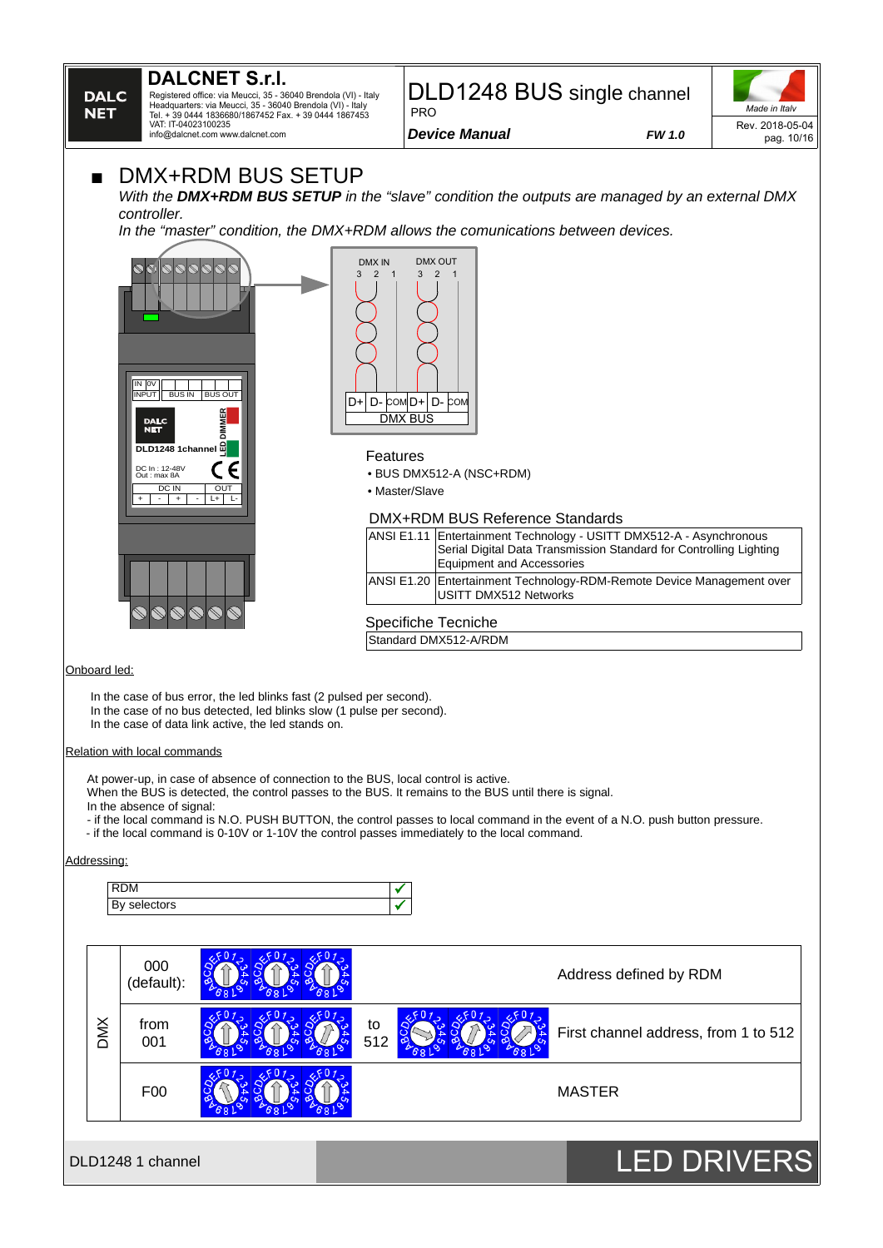### **DALCNET S.r.l.**

Registered office: via Meucci, 35 - 36040 Brendola (VI) - Italy Headquarters: via Meucci, 35 - 36040 Brendola (VI) - Italy Tel. + 39 0444 1836680/1867452 Fax. + 39 0444 1867453 VAT: IT-04023100235 info@dalcnet.com www.dalcnet.com

#### DLD1248 BUS single channel PRO

*Made in Italy* Rev. 2018-05-04 pag. 10/16

*Device Manual FW 1.0*

### **DMX+RDM BUS SETUP**

*With the DMX+RDM BUS SETUP in the "slave" condition the outputs are managed by an external DMX controller.* 

*In the "master" condition, the DMX+RDM allows the comunications between devices.*





#### Features

• BUS DMX512-A (NSC+RDM)

• Master/Slave

#### DMX+RDM BUS Reference Standards

| ANSI E1.11 Entertainment Technology - USITT DMX512-A - Asynchronous<br>Serial Digital Data Transmission Standard for Controlling Lighting<br>Equipment and Accessories |
|------------------------------------------------------------------------------------------------------------------------------------------------------------------------|
| ANSI E1.20 Entertainment Technology-RDM-Remote Device Management over<br>USITT DMX512 Networks                                                                         |

Onboard led:

In the case of bus error, the led blinks fast (2 pulsed per second). In the case of no bus detected, led blinks slow (1 pulse per second). In the case of data link active, the led stands on.

#### Relation with local commands

At power-up, in case of absence of connection to the BUS, local control is active.

When the BUS is detected, the control passes to the BUS. It remains to the BUS until there is signal.

In the absence of signal:

- if the local command is N.O. PUSH BUTTON, the control passes to local command in the event of a N.O. push button pressure.

Specifiche Tecniche Standard DMX512-A/RDM

- if the local command is 0-10V or 1-10V the control passes immediately to the local command.

#### Addressing:



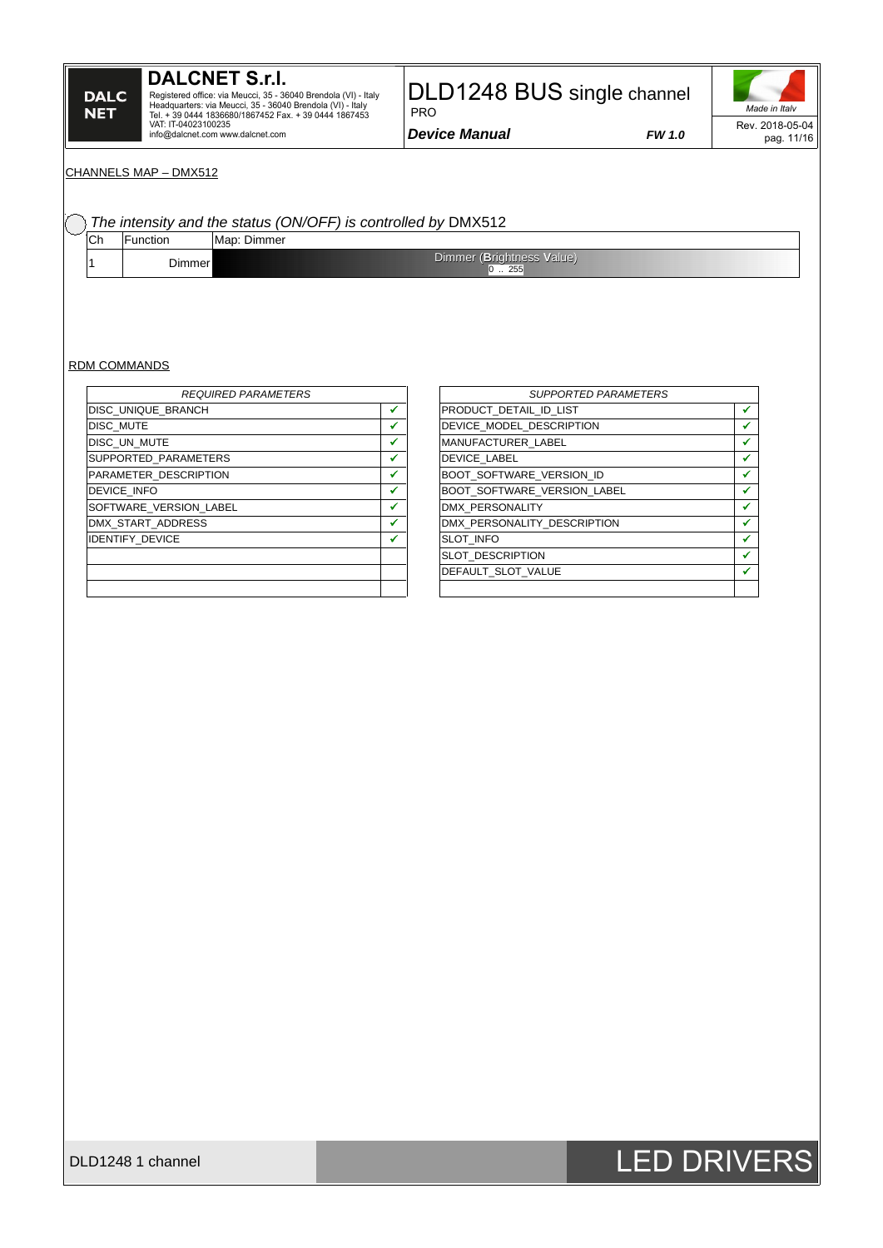# **DALCNET S.r.l.** Registered office: via Meucci, 35 - 36040 Brendola (VI) - Italy<br>Headquarters: via Meucci, 35 - 36040 Brendola (VI) - Italy<br>Tel. + 39 0444 1836680/1867452 Fax. + 39 0444 1867453<br>VAT: IT-04023100235<br>info@dalcnet.com www.dalc

DLD1248 BUS single channel  $-$ PRO

*Device Manual FW 1.0*



### *Made in Italy* Rev. 2018-05-04 pag. 11/16

#### CHANNELS MAP – DMX512

### *The intensity and the status (ON/OFF) is controlled by* DMX512

| ◡᠁ | Function | Map: Dimmer |                                  |
|----|----------|-------------|----------------------------------|
|    | )immer!  |             | Dimmer (Brightness Value)<br>つにに |

#### RDM COMMANDS

| <b>REQUIRED PARAMETERS</b> |   | <b>SUPPORTED PARAMETERS</b>        |   |
|----------------------------|---|------------------------------------|---|
| <b>DISC UNIQUE BRANCH</b>  | ✔ | PRODUCT DETAIL ID LIST             |   |
| <b>DISC MUTE</b>           |   | DEVICE MODEL DESCRIPTION           |   |
| DISC UN MUTE               |   | MANUFACTURER LABEL                 |   |
| SUPPORTED PARAMETERS       |   | <b>DEVICE LABEL</b>                |   |
| PARAMETER DESCRIPTION      |   | <b>BOOT SOFTWARE VERSION ID</b>    |   |
| <b>DEVICE INFO</b>         |   | <b>BOOT SOFTWARE VERSION LABEL</b> |   |
| SOFTWARE VERSION LABEL     | ✔ | DMX PERSONALITY                    |   |
| DMX START ADDRESS          |   | DMX PERSONALITY DESCRIPTION        |   |
| <b>IDENTIFY DEVICE</b>     |   | <b>SLOT INFO</b>                   |   |
|                            |   | <b>SLOT DESCRIPTION</b>            | ✔ |
|                            |   | DEFAULT SLOT VALUE                 | ✔ |
|                            |   |                                    |   |

| <b>SUPPORTED PARAMETERS</b> |  |
|-----------------------------|--|
| PRODUCT DETAIL ID LIST      |  |
| DEVICE MODEL DESCRIPTION    |  |
| <b>MANUFACTURER LABEL</b>   |  |
| <b>DEVICE LABEL</b>         |  |
| BOOT SOFTWARE VERSION ID    |  |
| BOOT SOFTWARE VERSION LABEL |  |
| <b>DMX PERSONALITY</b>      |  |
| DMX PERSONALITY DESCRIPTION |  |
| <b>SLOT INFO</b>            |  |
| SLOT DESCRIPTION            |  |
| DEFAULT SLOT VALUE          |  |
|                             |  |

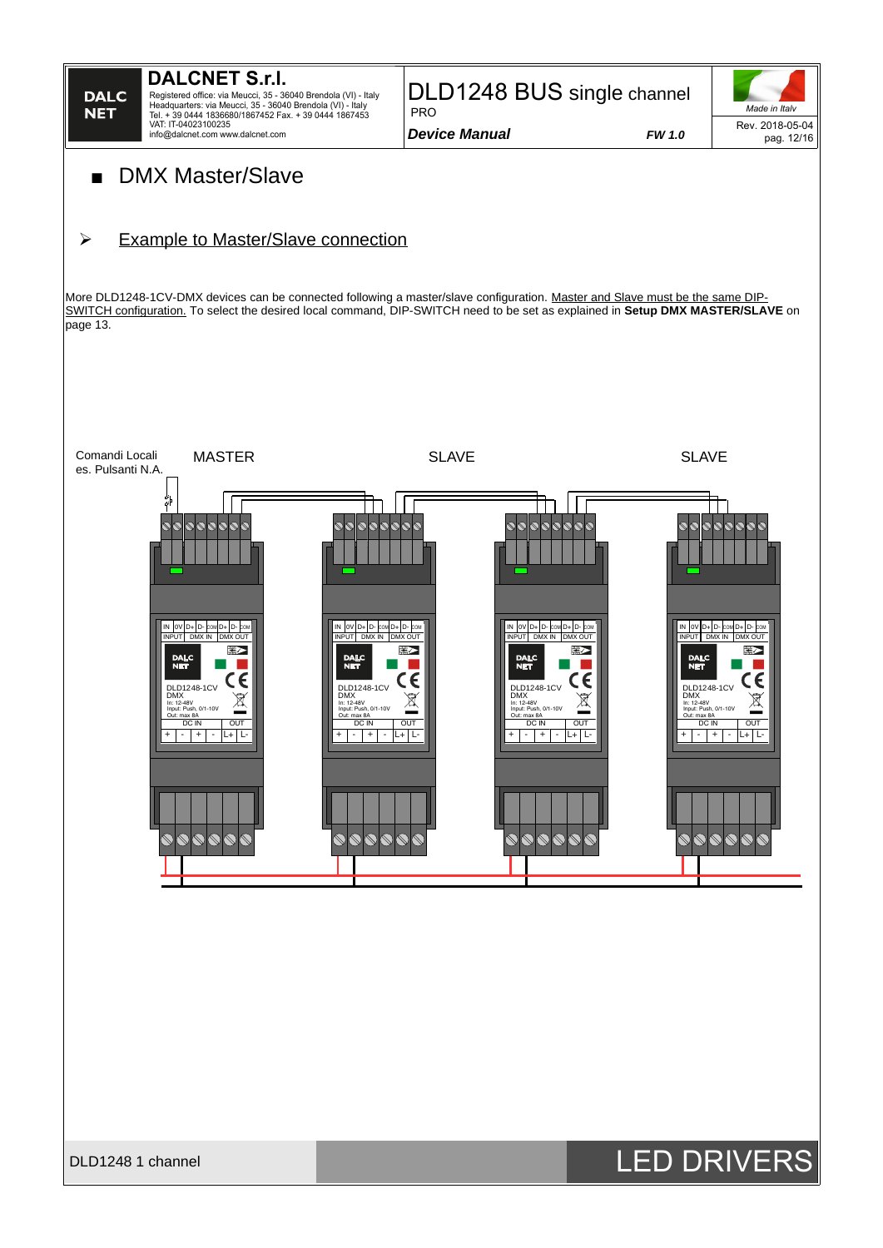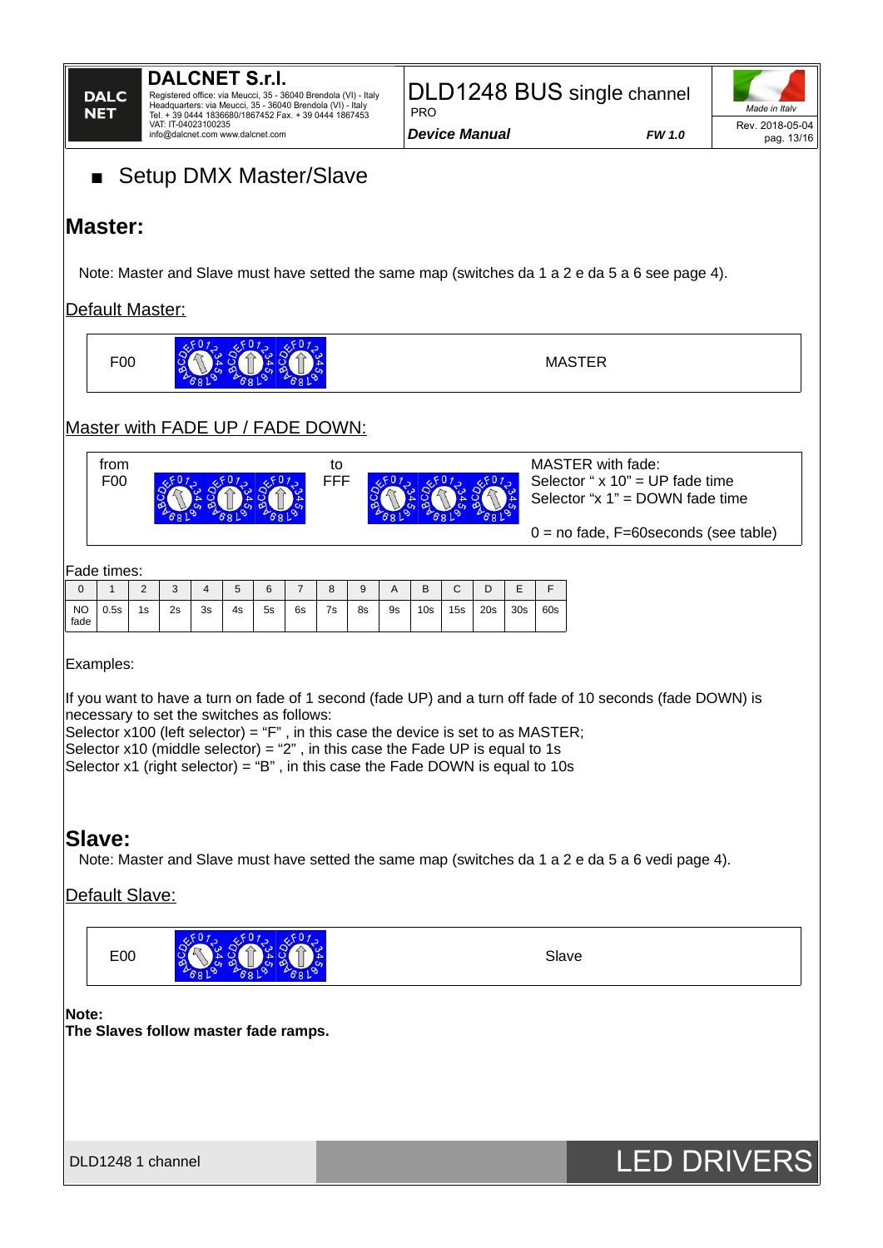

Registered office: via Meucci, 35 - 36040 Brendola (VI) - Italy Headquarters: via Meucci, 35 - 36040 Brendola (VI) - Italy Tel. + 39 0444 1836680/1867452 Fax. + 39 0444 1867453 VAT: IT-04023100235 info@dalcnet.com www.dalcnet.com

DLD1248 BUS single channel PRO

*Device Manual FW 1.0*



# ■ Setup DMX Master/Slave

## **Master:**

Note: Master and Slave must have setted the same map (switches da 1 a 2 e da 5 a 6 see page 4).

### Default Master:

 $.501.$ F00 **MASTER** 

### Master with FADE UP / FADE DOWN:

| trom<br>F <sub>0</sub> | τo<br>FFF | MASTER with fade:<br>Selector " $x 10$ " = UP fade time<br>Selector " $x 1$ " = DOWN fade time |
|------------------------|-----------|------------------------------------------------------------------------------------------------|
|                        |           | $0 =$ no fade, F=60 seconds (see table)                                                        |

Fade times:

|                   | .        |        |                 |    |    |             |    |               |    |           |                 |                               |     |                 |     |
|-------------------|----------|--------|-----------------|----|----|-------------|----|---------------|----|-----------|-----------------|-------------------------------|-----|-----------------|-----|
|                   | <b>.</b> | $\sim$ | $\sqrt{2}$<br>ື |    | 5  | $\sim$<br>ь |    | $\Omega$<br>ŏ | 9  | A         | B               | $\overline{\phantom{0}}$<br>֊ | ◡   | -<br>–          |     |
| <b>NO</b><br>fade | 0.5s     | 1s     | 2s              | 3s | 4s | 5s          | 6s | 7s            | 8s | <b>9s</b> | 10 <sub>S</sub> | 15s                           | 20s | 30 <sub>S</sub> | 60s |

 $2501 -$ 

Examples:

If you want to have a turn on fade of 1 second (fade UP) and a turn off fade of 10 seconds (fade DOWN) is necessary to set the switches as follows:

Selector  $x100$  (left selector) = "F", in this case the device is set to as MASTER; Selector  $x10$  (middle selector) = "2", in this case the Fade UP is equal to 1s Selector  $x1$  (right selector) = "B", in this case the Fade DOWN is equal to  $10s$ 

### **Slave:**

Note: Master and Slave must have setted the same map (switches da 1 a 2 e da 5 a 6 vedi page 4).

### Default Slave:



### **Note:**

**The Slaves follow master fade ramps.**

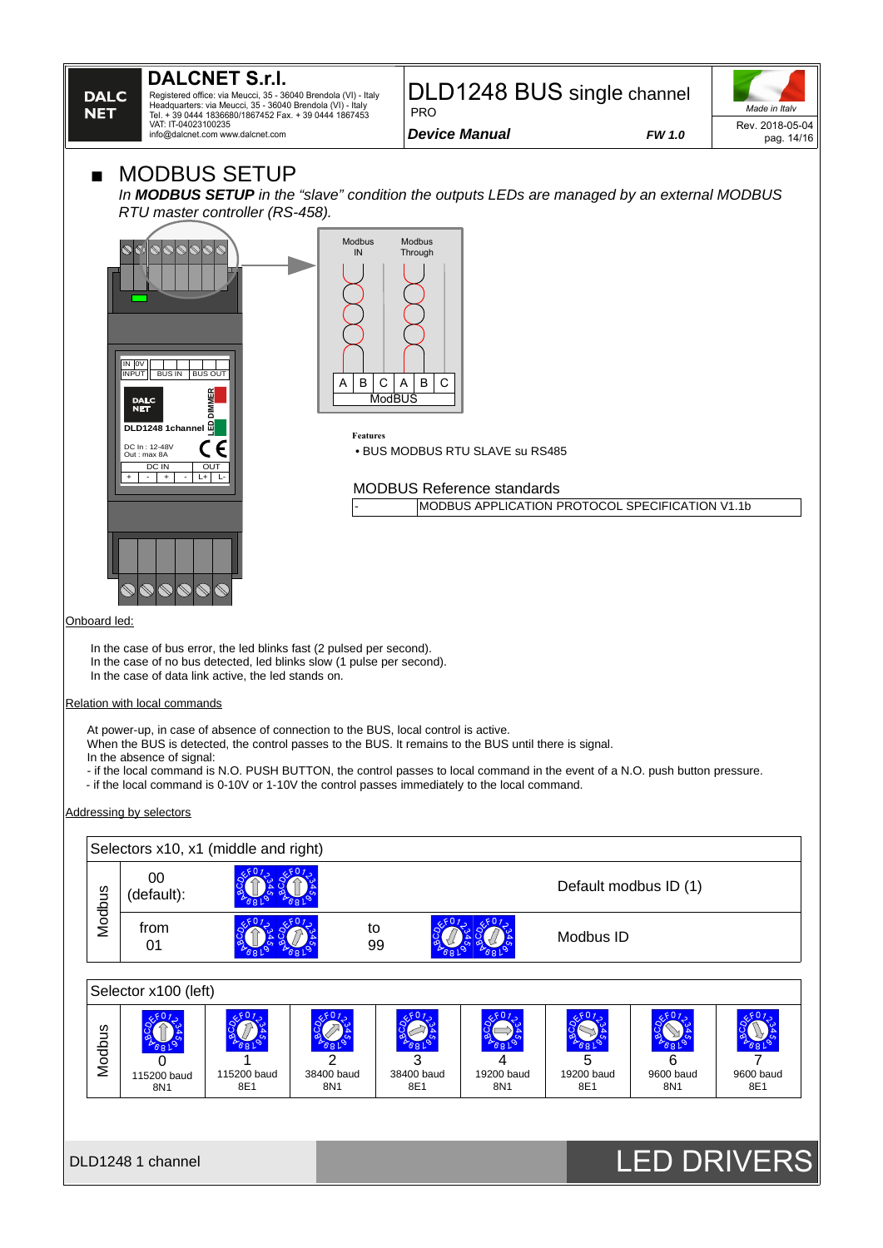

Registered office: via Meucci, 35 - 36040 Brendola (VI) - Italy Headquarters: via Meucci, 35 - 36040 Brendola (VI) - Italy Tel. + 39 0444 1836680/1867452 Fax. + 39 0444 1867453 VAT: IT-04023100235 info@dalcnet.com www.dalcnet.com

#### DLD1248 BUS single channel PRO

*Device Manual FW 1.0*

*Made in Italy* Rev. 2018-05-04 pag. 14/16

### **MODBUS SETUP**

*In MODBUS SETUP in the "slave" condition the outputs LEDs are managed by an external MODBUS RTU master controller (RS-458).*





**Features** • BUS MODBUS RTU SLAVE su RS485

MODBUS Reference standards MODBUS APPLICATION PROTOCOL SPECIFICATION V1.1b

#### Onboard led:

In the case of bus error, the led blinks fast (2 pulsed per second).

In the case of no bus detected, led blinks slow (1 pulse per second).

In the case of data link active, the led stands on.

#### Relation with local commands

At power-up, in case of absence of connection to the BUS, local control is active.

- When the BUS is detected, the control passes to the BUS. It remains to the BUS until there is signal.
- In the absence of signal:
- if the local command is N.O. PUSH BUTTON, the control passes to local command in the event of a N.O. push button pressure.
- if the local command is 0-10V or 1-10V the control passes immediately to the local command.

Addressing by selectors

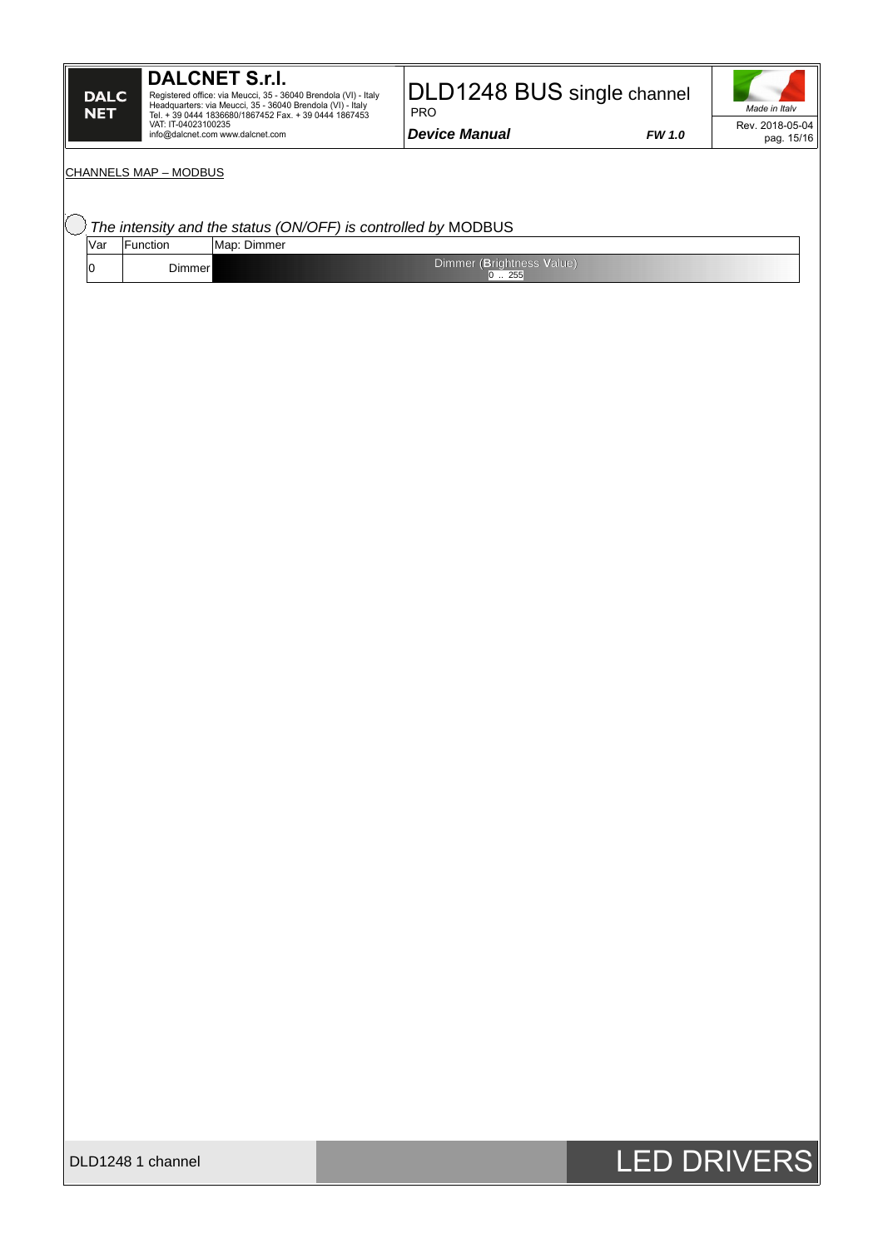### **DALCNET S.r.l.**

Registered office: via Meucci, 35 - 36040 Brendola (VI) - Italy<br>Headquarters: via Meucci, 35 - 36040 Brendola (VI) - Italy<br>Tel. + 39 0444 1836680/1867452 Fax. + 39 0444 1867453<br>VAT: IT-04023100235<br>info@dalcnet.com www.dalc

### DLD1248 BUS single channel

*Device Manual FW 1.0*

PRO



#### CHANNELS MAP – MODBUS

| Var | The intensity and the status (ON/OFF) is controlled by MODBUS<br>Function | Map: Dimmer |                                    |  |  |
|-----|---------------------------------------------------------------------------|-------------|------------------------------------|--|--|
| 0   | Dimmer                                                                    |             | Dimmer (Brightness Value)<br>0 255 |  |  |
|     |                                                                           |             |                                    |  |  |
|     |                                                                           |             |                                    |  |  |
|     |                                                                           |             |                                    |  |  |
|     |                                                                           |             |                                    |  |  |
|     |                                                                           |             |                                    |  |  |
|     |                                                                           |             |                                    |  |  |
|     |                                                                           |             |                                    |  |  |
|     |                                                                           |             |                                    |  |  |
|     |                                                                           |             |                                    |  |  |
|     |                                                                           |             |                                    |  |  |
|     |                                                                           |             |                                    |  |  |
|     |                                                                           |             |                                    |  |  |
|     |                                                                           |             |                                    |  |  |
|     |                                                                           |             |                                    |  |  |
|     |                                                                           |             |                                    |  |  |
|     |                                                                           |             |                                    |  |  |
|     |                                                                           |             |                                    |  |  |
|     |                                                                           |             |                                    |  |  |
|     |                                                                           |             |                                    |  |  |
|     |                                                                           |             |                                    |  |  |
|     |                                                                           |             |                                    |  |  |
|     |                                                                           |             |                                    |  |  |
|     |                                                                           |             |                                    |  |  |
|     |                                                                           |             |                                    |  |  |
|     |                                                                           |             |                                    |  |  |
|     |                                                                           |             |                                    |  |  |
|     |                                                                           |             |                                    |  |  |
|     |                                                                           |             |                                    |  |  |
|     |                                                                           |             |                                    |  |  |
|     |                                                                           |             |                                    |  |  |
|     |                                                                           |             |                                    |  |  |
|     |                                                                           |             |                                    |  |  |
|     |                                                                           |             |                                    |  |  |
|     |                                                                           |             |                                    |  |  |
|     |                                                                           |             |                                    |  |  |
|     |                                                                           |             |                                    |  |  |
|     |                                                                           |             |                                    |  |  |
|     |                                                                           |             |                                    |  |  |
|     |                                                                           |             |                                    |  |  |
|     |                                                                           |             |                                    |  |  |